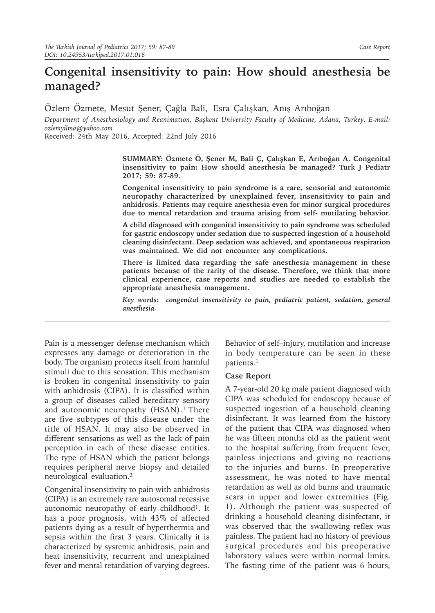## **Congenital insensitivity to pain: How should anesthesia be managed?**

Özlem Özmete, Mesut Şener, Çağla Bali, Esra Çalışkan, Anış Arıboğan

*Department of Anesthesiology and Reanimation, Başkent University Faculty of Medicine, Adana, Turkey. E-mail: ozlemyilma@yahoo.com*

Received: 24th May 2016, Accepted: 22nd July 2016

**SUMMARY: Özmete Ö, Şener M, Bali Ç, Çalışkan E, Arıboğan A. Congenital insensitivity to pain: How should anesthesia be managed? Turk J Pediatr 2017; 59: 87-89.**

**Congenital insensitivity to pain syndrome is a rare, sensorial and autonomic neuropathy characterized by unexplained fever, insensitivity to pain and anhidrosis. Patients may require anesthesia even for minor surgical procedures due to mental retardation and trauma arising from self- mutilating behavior.** 

**A child diagnosed with congenital insensitivity to pain syndrome was scheduled for gastric endoscopy under sedation due to suspected ingestion of a household cleaning disinfectant. Deep sedation was achieved, and spontaneous respiration was maintained. We did not encounter any complications.**

**There is limited data regarding the safe anesthesia management in these patients because of the rarity of the disease. Therefore, we think that more clinical experience, case reports and studies are needed to establish the appropriate anesthesia management.**

*Key words: congenital insensitivity to pain, pediatric patient, sedation, general anesthesia.*

Pain is a messenger defense mechanism which expresses any damage or deterioration in the body. The organism protects itself from harmful stimuli due to this sensation. This mechanism is broken in congenital insensitivity to pain with anhidrosis (CIPA). It is classified within a group of diseases called hereditary sensory and autonomic neuropathy (HSAN).<sup>1</sup> There are five subtypes of this disease under the title of HSAN. It may also be observed in different sensations as well as the lack of pain perception in each of these disease entities. The type of HSAN which the patient belongs requires peripheral nerve biopsy and detailed neurological evaluation.2

Congenital insensitivity to pain with anhidrosis (CIPA) is an extremely rare autosomal recessive autonomic neuropathy of early childhood<sup>1</sup>. It has a poor prognosis, with 43% of affected patients dying as a result of hyperthermia and sepsis within the first 3 years. Clinically it is characterized by systemic anhidrosis, pain and heat insensitivity, recurrent and unexplained fever and mental retardation of varying degrees.

Behavior of self–injury, mutilation and increase in body temperature can be seen in these patients.1

## **Case Report**

A 7-year-old 20 kg male patient diagnosed with CIPA was scheduled for endoscopy because of suspected ingestion of a household cleaning disinfectant. It was learned from the history of the patient that CIPA was diagnosed when he was fifteen months old as the patient went to the hospital suffering from frequent fever, painless injections and giving no reactions to the injuries and burns. In preoperative assessment, he was noted to have mental retardation as well as old burns and traumatic scars in upper and lower extremities (Fig. 1). Although the patient was suspected of drinking a household cleaning disinfectant, it was observed that the swallowing reflex was painless. The patient had no history of previous surgical procedures and his preoperative laboratory values were within normal limits. The fasting time of the patient was 6 hours;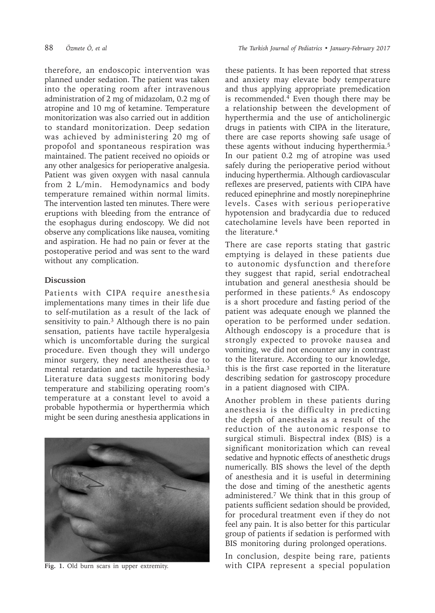therefore, an endoscopic intervention was planned under sedation. The patient was taken into the operating room after intravenous administration of 2 mg of midazolam, 0.2 mg of atropine and 10 mg of ketamine. Temperature monitorization was also carried out in addition to standard monitorization. Deep sedation was achieved by administering 20 mg of propofol and spontaneous respiration was maintained. The patient received no opioids or any other analgesics for perioperative analgesia. Patient was given oxygen with nasal cannula from 2 L/min. Hemodynamics and body temperature remained within normal limits. The intervention lasted ten minutes. There were eruptions with bleeding from the entrance of the esophagus during endoscopy. We did not observe any complications like nausea, vomiting and aspiration. He had no pain or fever at the postoperative period and was sent to the ward without any complication.

## **Discussion**

Patients with CIPA require anesthesia implementations many times in their life due to self-mutilation as a result of the lack of sensitivity to pain.<sup>3</sup> Although there is no pain sensation, patients have tactile hyperalgesia which is uncomfortable during the surgical procedure. Even though they will undergo minor surgery, they need anesthesia due to mental retardation and tactile hyperesthesia.3 Literature data suggests monitoring body temperature and stabilizing operating room's temperature at a constant level to avoid a probable hypothermia or hyperthermia which might be seen during anesthesia applications in



these patients. It has been reported that stress and anxiety may elevate body temperature and thus applying appropriate premedication is recommended. $4$  Even though there may be a relationship between the development of hyperthermia and the use of anticholinergic drugs in patients with CIPA in the literature, there are case reports showing safe usage of these agents without inducing hyperthermia.5 In our patient 0.2 mg of atropine was used safely during the perioperative period without inducing hyperthermia. Although cardiovascular reflexes are preserved, patients with CIPA have reduced epinephrine and mostly norepinephrine levels. Cases with serious perioperative hypotension and bradycardia due to reduced catecholamine levels have been reported in the literature.<sup>4</sup>

There are case reports stating that gastric emptying is delayed in these patients due to autonomic dysfunction and therefore they suggest that rapid, serial endotracheal intubation and general anesthesia should be performed in these patients.<sup>6</sup> As endoscopy is a short procedure and fasting period of the patient was adequate enough we planned the operation to be performed under sedation. Although endoscopy is a procedure that is strongly expected to provoke nausea and vomiting, we did not encounter any in contrast to the literature. According to our knowledge, this is the first case reported in the literature describing sedation for gastroscopy procedure in a patient diagnosed with CIPA.

Another problem in these patients during anesthesia is the difficulty in predicting the depth of anesthesia as a result of the reduction of the autonomic response to surgical stimuli. Bispectral index (BIS) is a significant monitorization which can reveal sedative and hypnotic effects of anesthetic drugs numerically. BIS shows the level of the depth of anesthesia and it is useful in determining the dose and timing of the anesthetic agents administered.7 We think that in this group of patients sufficient sedation should be provided, for procedural treatment even if they do not feel any pain. It is also better for this particular group of patients if sedation is performed with BIS monitoring during prolonged operations.

In conclusion, despite being rare, patients Fig. 1. Old burn scars in upper extremity. With CIPA represent a special population